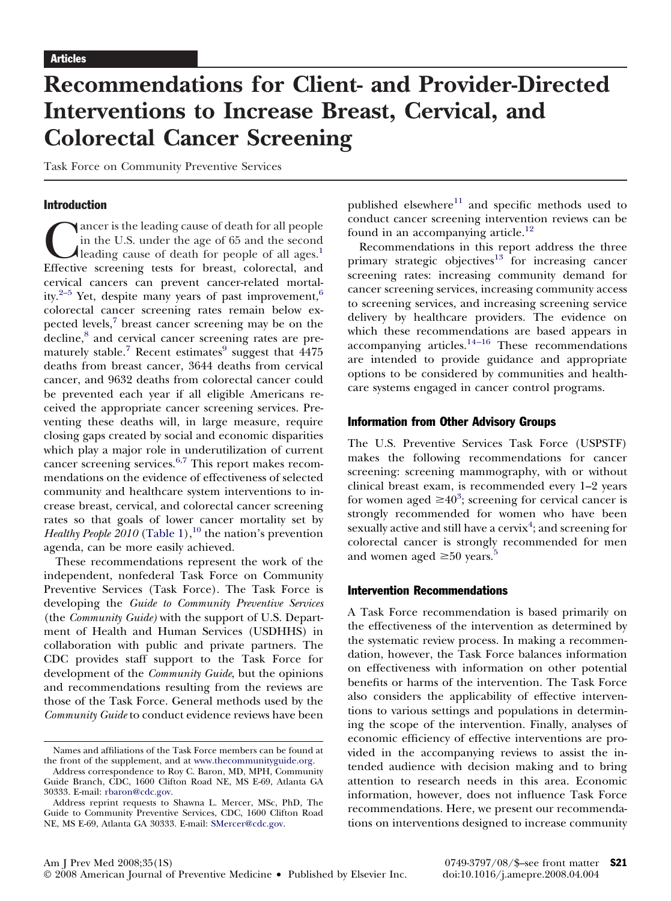# **Recommendations for Client- and Provider-Directed Interventions to Increase Breast, Cervical, and Colorectal Cancer Screening**

Task Force on Community Preventive Services

#### Introduction

Cancer is the leading cause of death for all people in the U.S. under the age of 65 and the second leading cause of death for people of all ages.<sup>1</sup> Effective screening tests for breast, colorectal, and in the U.S. under the age of 65 and the second **Aleading cause of death for people of all ages.**<sup>1</sup> cervical cancers can prevent cancer-related mortal-ity.<sup>[2–5](#page-4-0)</sup> Yet, despite many years of past improvement,<sup>[6](#page-4-0)</sup> colorectal cancer screening rates remain below ex-pected levels,<sup>[7](#page-4-0)</sup> breast cancer screening may be on the decline,<sup>[8](#page-4-0)</sup> and cervical cancer screening rates are pre-maturely stable.<sup>[7](#page-4-0)</sup> Recent estimates $9$  suggest that  $4475$ deaths from breast cancer, 3644 deaths from cervical cancer, and 9632 deaths from colorectal cancer could be prevented each year if all eligible Americans received the appropriate cancer screening services. Preventing these deaths will, in large measure, require closing gaps created by social and economic disparities which play a major role in underutilization of current cancer screening services.[6,7](#page-4-0) This report makes recommendations on the evidence of effectiveness of selected community and healthcare system interventions to increase breast, cervical, and colorectal cancer screening rates so that goals of lower cancer mortality set by *Healthy People 20[10](#page-4-0)* [\(Table 1\)](#page-1-0),<sup>10</sup> the nation's prevention agenda, can be more easily achieved.

These recommendations represent the work of the independent, nonfederal Task Force on Community Preventive Services (Task Force). The Task Force is developing the *Guide to Community Preventive Services* (the *Community Guide)* with the support of U.S. Department of Health and Human Services (USDHHS) in collaboration with public and private partners. The CDC provides staff support to the Task Force for development of the *Community Guide*, but the opinions and recommendations resulting from the reviews are those of the Task Force. General methods used by the *Community Guide* to conduct evidence reviews have been

published elsewhere $11$  and specific methods used to conduct cancer screening intervention reviews can be found in an accompanying article.<sup>[12](#page-4-0)</sup>

Recommendations in this report address the three primary strategic objectives $13$  for increasing cancer screening rates: increasing community demand for cancer screening services, increasing community access to screening services, and increasing screening service delivery by healthcare providers. The evidence on which these recommendations are based appears in accompanying articles. $14-16$  These recommendations are intended to provide guidance and appropriate options to be considered by communities and healthcare systems engaged in cancer control programs.

## Information from Other Advisory Groups

The U.S. Preventive Services Task Force (USPSTF) makes the following recommendations for cancer screening: screening mammography, with or without clinical breast exam, is recommended every 1–2 years for women aged  $\geq 40^3$  $\geq 40^3$ ; screening for cervical cancer is strongly recommended for women who have been  ${\rm sexually}$  active and still have a  ${\rm cervix^4};$  ${\rm cervix^4};$  ${\rm cervix^4};$  and  ${\rm screening}$  for colorectal cancer is strongly recommended for men and women aged  $\geq 50$  $\geq 50$  $\geq 50$  years.<sup>5</sup>

## Intervention Recommendations

A Task Force recommendation is based primarily on the effectiveness of the intervention as determined by the systematic review process. In making a recommendation, however, the Task Force balances information on effectiveness with information on other potential benefits or harms of the intervention. The Task Force also considers the applicability of effective interventions to various settings and populations in determining the scope of the intervention. Finally, analyses of economic efficiency of effective interventions are provided in the accompanying reviews to assist the intended audience with decision making and to bring attention to research needs in this area. Economic information, however, does not influence Task Force recommendations. Here, we present our recommendations on interventions designed to increase community

Names and affiliations of the Task Force members can be found at the front of the supplement, and at [www.thecommunityguide.org.](http://www.thecommunityguide.org)

Address correspondence to Roy C. Baron, MD, MPH, Community Guide Branch, CDC, 1600 Clifton Road NE, MS E-69, Atlanta GA 30333. E-mail: [rbaron@cdc.gov.](mailto:rbaron@cdc.gov)

Address reprint requests to Shawna L. Mercer, MSc, PhD, The Guide to Community Preventive Services, CDC, 1600 Clifton Road NE, MS E-69, Atlanta GA 30333. E-mail: [SMercer@cdc.gov.](mailto:SMercer@cdc.gov)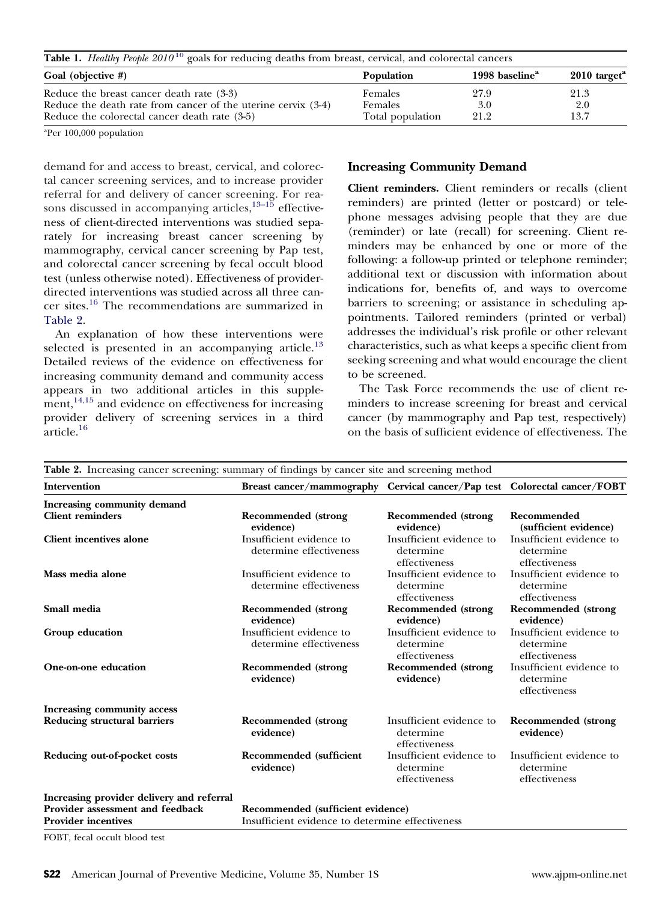<span id="page-1-0"></span>

| Table 1. Healthy People 2010 <sup>10</sup> goals for reducing deaths from breast, cervical, and colorectal cancers |                  |                            |                            |  |
|--------------------------------------------------------------------------------------------------------------------|------------------|----------------------------|----------------------------|--|
| Goal (objective #)                                                                                                 | Population       | 1998 baseline <sup>a</sup> | $2010$ target <sup>a</sup> |  |
| Reduce the breast cancer death rate (3-3)                                                                          | Females          | 27.9                       | 21.3                       |  |
| Reduce the death rate from cancer of the uterine cervix $(3-4)$                                                    | Females          | 3.0                        | 2.0                        |  |
| Reduce the colorectal cancer death rate (3-5)                                                                      | Total population | 21.2                       | 13.7                       |  |

a Per 100,000 population

demand for and access to breast, cervical, and colorectal cancer screening services, and to increase provider referral for and delivery of cancer screening. For rea-sons discussed in accompanying articles,<sup>[13–15](#page-4-0)</sup> effectiveness of client-directed interventions was studied separately for increasing breast cancer screening by mammography, cervical cancer screening by Pap test, and colorectal cancer screening by fecal occult blood test (unless otherwise noted). Effectiveness of providerdirected interventions was studied across all three cancer sites.[16](#page-4-0) The recommendations are summarized in Table 2.

An explanation of how these interventions were selected is presented in an accompanying article. $^{13}$  $^{13}$  $^{13}$ Detailed reviews of the evidence on effectiveness for increasing community demand and community access appears in two additional articles in this supplement, $14,15$  and evidence on effectiveness for increasing provider delivery of screening services in a third article.<sup>[16](#page-4-0)</sup>

## **Increasing Community Demand**

**Client reminders.** Client reminders or recalls (client reminders) are printed (letter or postcard) or telephone messages advising people that they are due (reminder) or late (recall) for screening. Client reminders may be enhanced by one or more of the following: a follow-up printed or telephone reminder; additional text or discussion with information about indications for, benefits of, and ways to overcome barriers to screening; or assistance in scheduling appointments. Tailored reminders (printed or verbal) addresses the individual's risk profile or other relevant characteristics, such as what keeps a specific client from seeking screening and what would encourage the client to be screened.

The Task Force recommends the use of client reminders to increase screening for breast and cervical cancer (by mammography and Pap test, respectively) on the basis of sufficient evidence of effectiveness. The

| Table 2. Increasing cancer screening: summary of findings by cancer site and screening method |                                                                           |                                                        |                                                        |  |
|-----------------------------------------------------------------------------------------------|---------------------------------------------------------------------------|--------------------------------------------------------|--------------------------------------------------------|--|
| <b>Intervention</b>                                                                           | Breast cancer/mammography Cervical cancer/Pap test Colorectal cancer/FOBT |                                                        |                                                        |  |
| Increasing community demand                                                                   |                                                                           |                                                        |                                                        |  |
| <b>Client reminders</b>                                                                       | Recommended (strong<br>evidence)                                          | Recommended (strong<br>evidence)                       | Recommended<br>(sufficient evidence)                   |  |
| <b>Client incentives alone</b>                                                                | Insufficient evidence to<br>determine effectiveness                       | Insufficient evidence to<br>determine<br>effectiveness | Insufficient evidence to<br>determine<br>effectiveness |  |
| Mass media alone                                                                              | Insufficient evidence to<br>determine effectiveness                       | Insufficient evidence to<br>determine<br>effectiveness | Insufficient evidence to<br>determine<br>effectiveness |  |
| Small media                                                                                   | <b>Recommended</b> (strong<br>evidence)                                   | <b>Recommended</b> (strong<br>evidence)                | <b>Recommended</b> (strong<br>evidence)                |  |
| Group education                                                                               | Insufficient evidence to<br>determine effectiveness                       | Insufficient evidence to<br>determine<br>effectiveness | Insufficient evidence to<br>determine<br>effectiveness |  |
| One-on-one education                                                                          | <b>Recommended</b> (strong<br>evidence)                                   | <b>Recommended</b> (strong<br>evidence)                | Insufficient evidence to<br>determine<br>effectiveness |  |
| Increasing community access                                                                   |                                                                           |                                                        |                                                        |  |
| <b>Reducing structural barriers</b>                                                           | <b>Recommended</b> (strong<br>evidence)                                   | Insufficient evidence to<br>determine<br>effectiveness | <b>Recommended</b> (strong<br>evidence)                |  |
| Reducing out-of-pocket costs                                                                  | <b>Recommended</b> (sufficient<br>evidence)                               | Insufficient evidence to<br>determine<br>effectiveness | Insufficient evidence to<br>determine<br>effectiveness |  |
| Increasing provider delivery and referral                                                     |                                                                           |                                                        |                                                        |  |
| Provider assessment and feedback                                                              | Recommended (sufficient evidence)                                         |                                                        |                                                        |  |
| <b>Provider incentives</b>                                                                    | Insufficient evidence to determine effectiveness                          |                                                        |                                                        |  |

FOBT, fecal occult blood test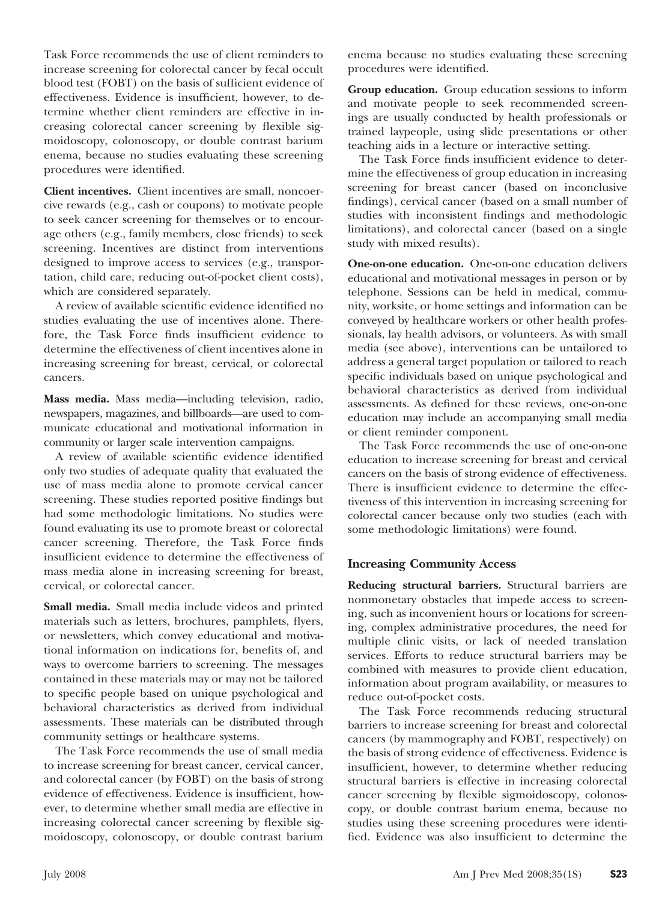Task Force recommends the use of client reminders to increase screening for colorectal cancer by fecal occult blood test (FOBT) on the basis of sufficient evidence of effectiveness. Evidence is insufficient, however, to determine whether client reminders are effective in increasing colorectal cancer screening by flexible sigmoidoscopy, colonoscopy, or double contrast barium enema, because no studies evaluating these screening procedures were identified.

**Client incentives.** Client incentives are small, noncoercive rewards (e.g., cash or coupons) to motivate people to seek cancer screening for themselves or to encourage others (e.g., family members, close friends) to seek screening. Incentives are distinct from interventions designed to improve access to services (e.g., transportation, child care, reducing out-of-pocket client costs), which are considered separately.

A review of available scientific evidence identified no studies evaluating the use of incentives alone. Therefore, the Task Force finds insufficient evidence to determine the effectiveness of client incentives alone in increasing screening for breast, cervical, or colorectal cancers.

**Mass media.** Mass media—including television, radio, newspapers, magazines, and billboards—are used to communicate educational and motivational information in community or larger scale intervention campaigns.

A review of available scientific evidence identified only two studies of adequate quality that evaluated the use of mass media alone to promote cervical cancer screening. These studies reported positive findings but had some methodologic limitations. No studies were found evaluating its use to promote breast or colorectal cancer screening. Therefore, the Task Force finds insufficient evidence to determine the effectiveness of mass media alone in increasing screening for breast, cervical, or colorectal cancer.

**Small media.** Small media include videos and printed materials such as letters, brochures, pamphlets, flyers, or newsletters, which convey educational and motivational information on indications for, benefits of, and ways to overcome barriers to screening. The messages contained in these materials may or may not be tailored to specific people based on unique psychological and behavioral characteristics as derived from individual assessments. These materials can be distributed through community settings or healthcare systems.

The Task Force recommends the use of small media to increase screening for breast cancer, cervical cancer, and colorectal cancer (by FOBT) on the basis of strong evidence of effectiveness. Evidence is insufficient, however, to determine whether small media are effective in increasing colorectal cancer screening by flexible sigmoidoscopy, colonoscopy, or double contrast barium

enema because no studies evaluating these screening procedures were identified.

**Group education.** Group education sessions to inform and motivate people to seek recommended screenings are usually conducted by health professionals or trained laypeople, using slide presentations or other teaching aids in a lecture or interactive setting.

The Task Force finds insufficient evidence to determine the effectiveness of group education in increasing screening for breast cancer (based on inconclusive findings), cervical cancer (based on a small number of studies with inconsistent findings and methodologic limitations), and colorectal cancer (based on a single study with mixed results).

**One-on-one education.** One-on-one education delivers educational and motivational messages in person or by telephone. Sessions can be held in medical, community, worksite, or home settings and information can be conveyed by healthcare workers or other health professionals, lay health advisors, or volunteers. As with small media (see above), interventions can be untailored to address a general target population or tailored to reach specific individuals based on unique psychological and behavioral characteristics as derived from individual assessments. As defined for these reviews, one-on-one education may include an accompanying small media or client reminder component.

The Task Force recommends the use of one-on-one education to increase screening for breast and cervical cancers on the basis of strong evidence of effectiveness. There is insufficient evidence to determine the effectiveness of this intervention in increasing screening for colorectal cancer because only two studies (each with some methodologic limitations) were found.

## **Increasing Community Access**

**Reducing structural barriers.** Structural barriers are nonmonetary obstacles that impede access to screening, such as inconvenient hours or locations for screening, complex administrative procedures, the need for multiple clinic visits, or lack of needed translation services. Efforts to reduce structural barriers may be combined with measures to provide client education, information about program availability, or measures to reduce out-of-pocket costs.

The Task Force recommends reducing structural barriers to increase screening for breast and colorectal cancers (by mammography and FOBT, respectively) on the basis of strong evidence of effectiveness. Evidence is insufficient, however, to determine whether reducing structural barriers is effective in increasing colorectal cancer screening by flexible sigmoidoscopy, colonoscopy, or double contrast barium enema, because no studies using these screening procedures were identified. Evidence was also insufficient to determine the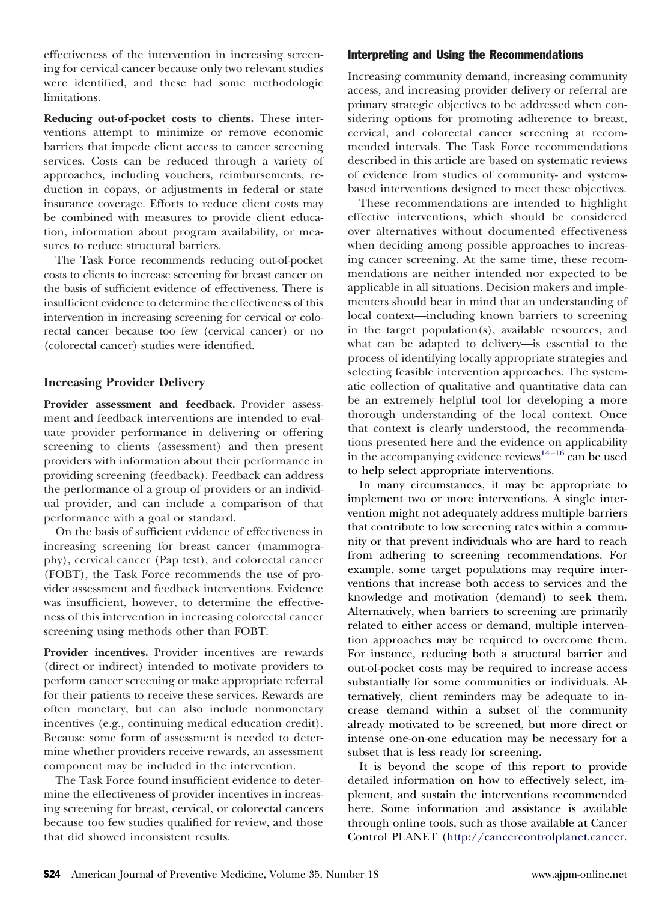effectiveness of the intervention in increasing screening for cervical cancer because only two relevant studies were identified, and these had some methodologic limitations.

**Reducing out-of-pocket costs to clients.** These interventions attempt to minimize or remove economic barriers that impede client access to cancer screening services. Costs can be reduced through a variety of approaches, including vouchers, reimbursements, reduction in copays, or adjustments in federal or state insurance coverage. Efforts to reduce client costs may be combined with measures to provide client education, information about program availability, or measures to reduce structural barriers.

The Task Force recommends reducing out-of-pocket costs to clients to increase screening for breast cancer on the basis of sufficient evidence of effectiveness. There is insufficient evidence to determine the effectiveness of this intervention in increasing screening for cervical or colorectal cancer because too few (cervical cancer) or no (colorectal cancer) studies were identified.

## **Increasing Provider Delivery**

Provider assessment and feedback. Provider assessment and feedback interventions are intended to evaluate provider performance in delivering or offering screening to clients (assessment) and then present providers with information about their performance in providing screening (feedback). Feedback can address the performance of a group of providers or an individual provider, and can include a comparison of that performance with a goal or standard.

On the basis of sufficient evidence of effectiveness in increasing screening for breast cancer (mammography), cervical cancer (Pap test), and colorectal cancer (FOBT), the Task Force recommends the use of provider assessment and feedback interventions. Evidence was insufficient, however, to determine the effectiveness of this intervention in increasing colorectal cancer screening using methods other than FOBT.

Provider incentives. Provider incentives are rewards (direct or indirect) intended to motivate providers to perform cancer screening or make appropriate referral for their patients to receive these services. Rewards are often monetary, but can also include nonmonetary incentives (e.g., continuing medical education credit). Because some form of assessment is needed to determine whether providers receive rewards, an assessment component may be included in the intervention.

The Task Force found insufficient evidence to determine the effectiveness of provider incentives in increasing screening for breast, cervical, or colorectal cancers because too few studies qualified for review, and those that did showed inconsistent results.

## Interpreting and Using the Recommendations

Increasing community demand, increasing community access, and increasing provider delivery or referral are primary strategic objectives to be addressed when considering options for promoting adherence to breast, cervical, and colorectal cancer screening at recommended intervals. The Task Force recommendations described in this article are based on systematic reviews of evidence from studies of community- and systemsbased interventions designed to meet these objectives.

These recommendations are intended to highlight effective interventions, which should be considered over alternatives without documented effectiveness when deciding among possible approaches to increasing cancer screening. At the same time, these recommendations are neither intended nor expected to be applicable in all situations. Decision makers and implementers should bear in mind that an understanding of local context—including known barriers to screening in the target population(s), available resources, and what can be adapted to delivery—is essential to the process of identifying locally appropriate strategies and selecting feasible intervention approaches. The systematic collection of qualitative and quantitative data can be an extremely helpful tool for developing a more thorough understanding of the local context. Once that context is clearly understood, the recommendations presented here and the evidence on applicability in the accompanying evidence reviews $^{14-16}$  can be used to help select appropriate interventions.

In many circumstances, it may be appropriate to implement two or more interventions. A single intervention might not adequately address multiple barriers that contribute to low screening rates within a community or that prevent individuals who are hard to reach from adhering to screening recommendations. For example, some target populations may require interventions that increase both access to services and the knowledge and motivation (demand) to seek them. Alternatively, when barriers to screening are primarily related to either access or demand, multiple intervention approaches may be required to overcome them. For instance, reducing both a structural barrier and out-of-pocket costs may be required to increase access substantially for some communities or individuals. Alternatively, client reminders may be adequate to increase demand within a subset of the community already motivated to be screened, but more direct or intense one-on-one education may be necessary for a subset that is less ready for screening.

It is beyond the scope of this report to provide detailed information on how to effectively select, implement, and sustain the interventions recommended here. Some information and assistance is available through online tools, such as those available at Cancer Control PLANET ([http://cancercontrolplanet.cancer.](http://cancercontrolplanet.cancer.gov/)